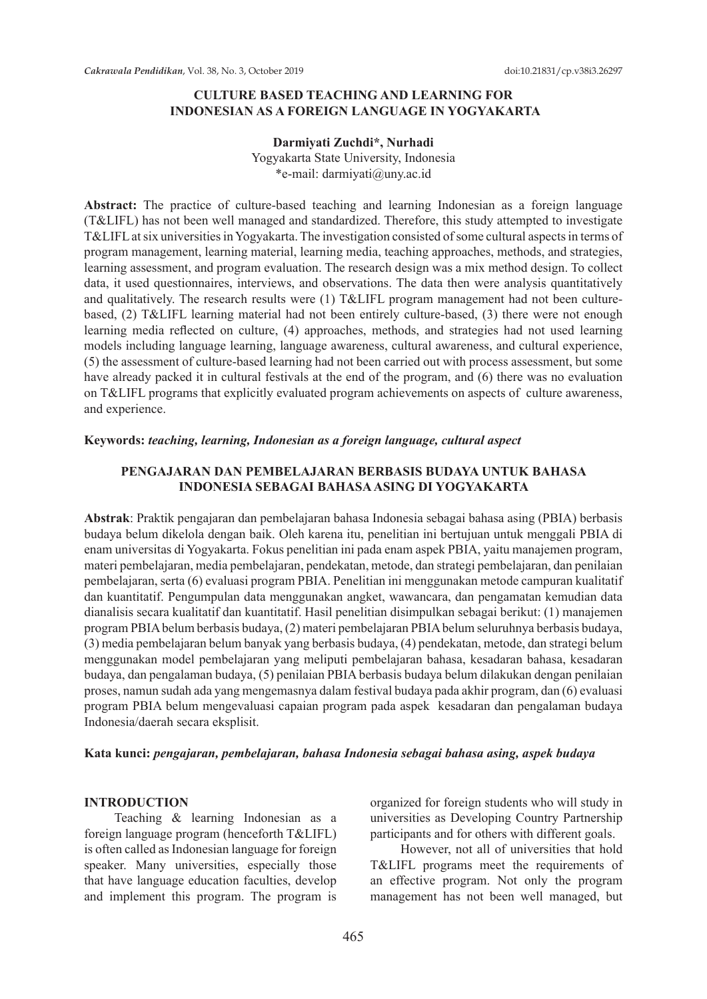### **CULTURE BASED TEACHING AND LEARNING FOR INDONESIAN AS A FOREIGN LANGUAGE IN YOGYAKARTA**

#### **Darmiyati Zuchdi\*, Nurhadi**

Yogyakarta State University, Indonesia \*e-mail: darmiyati@uny.ac.id

**Abstract:** The practice of culture-based teaching and learning Indonesian as a foreign language (T&LIFL) has not been well managed and standardized. Therefore, this study attempted to investigate T&LIFL at six universities in Yogyakarta. The investigation consisted of some cultural aspects in terms of program management, learning material, learning media, teaching approaches, methods, and strategies, learning assessment, and program evaluation. The research design was a mix method design. To collect data, it used questionnaires, interviews, and observations. The data then were analysis quantitatively and qualitatively. The research results were (1) T&LIFL program management had not been culturebased, (2) T&LIFL learning material had not been entirely culture-based, (3) there were not enough learning media reflected on culture, (4) approaches, methods, and strategies had not used learning models including language learning, language awareness, cultural awareness, and cultural experience, (5) the assessment of culture-based learning had not been carried out with process assessment, but some have already packed it in cultural festivals at the end of the program, and (6) there was no evaluation on T&LIFL programs that explicitly evaluated program achievements on aspects of culture awareness, and experience.

#### **Keywords:** *teaching, learning, Indonesian as a foreign language, cultural aspect*

### **PENGAJARAN DAN PEMBELAJARAN BERBASIS BUDAYA UNTUK BAHASA INDONESIA SEBAGAI BAHASA ASING DI YOGYAKARTA**

**Abstrak**: Praktik pengajaran dan pembelajaran bahasa Indonesia sebagai bahasa asing (PBIA) berbasis budaya belum dikelola dengan baik. Oleh karena itu, penelitian ini bertujuan untuk menggali PBIA di enam universitas di Yogyakarta. Fokus penelitian ini pada enam aspek PBIA, yaitu manajemen program, materi pembelajaran, media pembelajaran, pendekatan, metode, dan strategi pembelajaran, dan penilaian pembelajaran, serta (6) evaluasi program PBIA. Penelitian ini menggunakan metode campuran kualitatif dan kuantitatif. Pengumpulan data menggunakan angket, wawancara, dan pengamatan kemudian data dianalisis secara kualitatif dan kuantitatif. Hasil penelitian disimpulkan sebagai berikut: (1) manajemen program PBIA belum berbasis budaya, (2) materi pembelajaran PBIA belum seluruhnya berbasis budaya, (3) media pembelajaran belum banyak yang berbasis budaya, (4) pendekatan, metode, dan strategi belum menggunakan model pembelajaran yang meliputi pembelajaran bahasa, kesadaran bahasa, kesadaran budaya, dan pengalaman budaya, (5) penilaian PBIA berbasis budaya belum dilakukan dengan penilaian proses, namun sudah ada yang mengemasnya dalam festival budaya pada akhir program, dan (6) evaluasi program PBIA belum mengevaluasi capaian program pada aspek kesadaran dan pengalaman budaya Indonesia/daerah secara eksplisit.

#### **Kata kunci:** *pengajaran, pembelajaran, bahasa Indonesia sebagai bahasa asing, aspek budaya*

#### **INTRODUCTION**

Teaching & learning Indonesian as a foreign language program (henceforth T&LIFL) is often called as Indonesian language for foreign speaker. Many universities, especially those that have language education faculties, develop and implement this program. The program is organized for foreign students who will study in universities as Developing Country Partnership participants and for others with different goals.

However, not all of universities that hold T&LIFL programs meet the requirements of an effective program. Not only the program management has not been well managed, but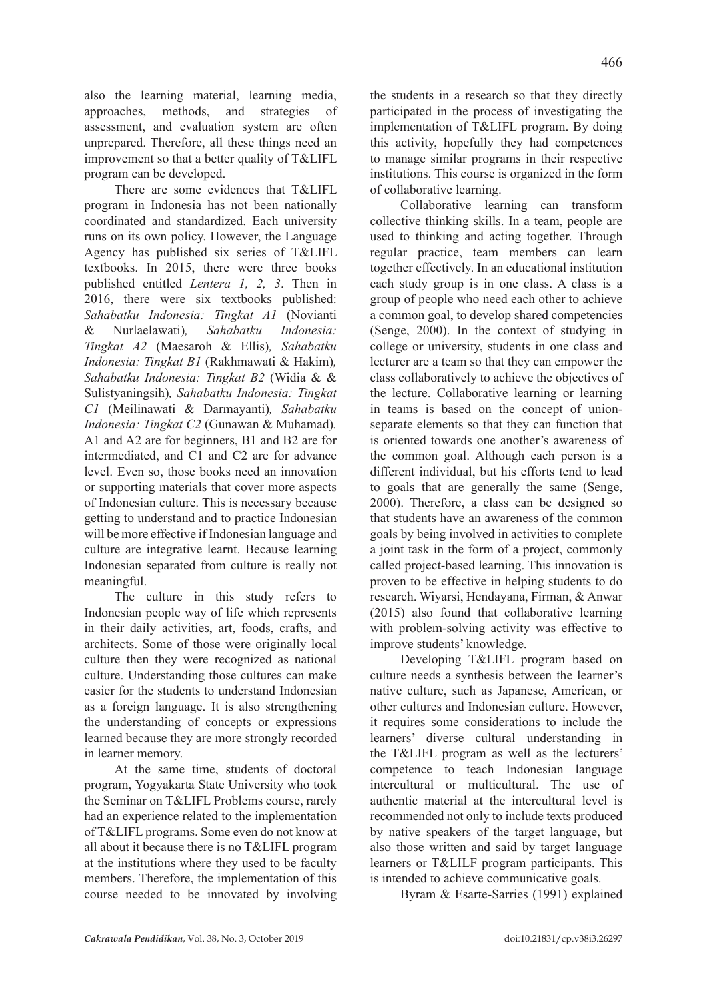also the learning material, learning media, approaches, methods, and strategies of assessment, and evaluation system are often unprepared. Therefore, all these things need an improvement so that a better quality of T&LIFL program can be developed.

There are some evidences that T&LIFL program in Indonesia has not been nationally coordinated and standardized. Each university runs on its own policy. However, the Language Agency has published six series of T&LIFL textbooks. In 2015, there were three books published entitled *Lentera 1, 2, 3*. Then in 2016, there were six textbooks published: *Sahabatku Indonesia: Tingkat A1* (Novianti & Nurlaelawati)*, Sahabatku Indonesia: Tingkat A2* (Maesaroh & Ellis)*, Sahabatku Indonesia: Tingkat B1* (Rakhmawati & Hakim)*, Sahabatku Indonesia: Tingkat B2* (Widia & & Sulistyaningsih)*, Sahabatku Indonesia: Tingkat C1* (Meilinawati & Darmayanti)*, Sahabatku Indonesia: Tingkat C2* (Gunawan & Muhamad)*.*  A1 and A2 are for beginners, B1 and B2 are for intermediated, and C1 and C2 are for advance level. Even so, those books need an innovation or supporting materials that cover more aspects of Indonesian culture. This is necessary because getting to understand and to practice Indonesian will be more effective if Indonesian language and culture are integrative learnt. Because learning Indonesian separated from culture is really not meaningful.

The culture in this study refers to Indonesian people way of life which represents in their daily activities, art, foods, crafts, and architects. Some of those were originally local culture then they were recognized as national culture. Understanding those cultures can make easier for the students to understand Indonesian as a foreign language. It is also strengthening the understanding of concepts or expressions learned because they are more strongly recorded in learner memory.

At the same time, students of doctoral program, Yogyakarta State University who took the Seminar on T&LIFL Problems course, rarely had an experience related to the implementation of T&LIFL programs. Some even do not know at all about it because there is no T&LIFL program at the institutions where they used to be faculty members. Therefore, the implementation of this course needed to be innovated by involving the students in a research so that they directly participated in the process of investigating the implementation of T&LIFL program. By doing this activity, hopefully they had competences to manage similar programs in their respective institutions. This course is organized in the form of collaborative learning.

Collaborative learning can transform collective thinking skills. In a team, people are used to thinking and acting together. Through regular practice, team members can learn together effectively. In an educational institution each study group is in one class. A class is a group of people who need each other to achieve a common goal, to develop shared competencies (Senge, 2000). In the context of studying in college or university, students in one class and lecturer are a team so that they can empower the class collaboratively to achieve the objectives of the lecture. Collaborative learning or learning in teams is based on the concept of unionseparate elements so that they can function that is oriented towards one another's awareness of the common goal. Although each person is a different individual, but his efforts tend to lead to goals that are generally the same (Senge, 2000). Therefore, a class can be designed so that students have an awareness of the common goals by being involved in activities to complete a joint task in the form of a project, commonly called project-based learning. This innovation is proven to be effective in helping students to do research. Wiyarsi, Hendayana, Firman, & Anwar (2015) also found that collaborative learning with problem-solving activity was effective to improve students' knowledge.

Developing T&LIFL program based on culture needs a synthesis between the learner's native culture, such as Japanese, American, or other cultures and Indonesian culture. However, it requires some considerations to include the learners' diverse cultural understanding in the T&LIFL program as well as the lecturers' competence to teach Indonesian language intercultural or multicultural. The use of authentic material at the intercultural level is recommended not only to include texts produced by native speakers of the target language, but also those written and said by target language learners or T&LILF program participants. This is intended to achieve communicative goals.

Byram & Esarte-Sarries (1991) explained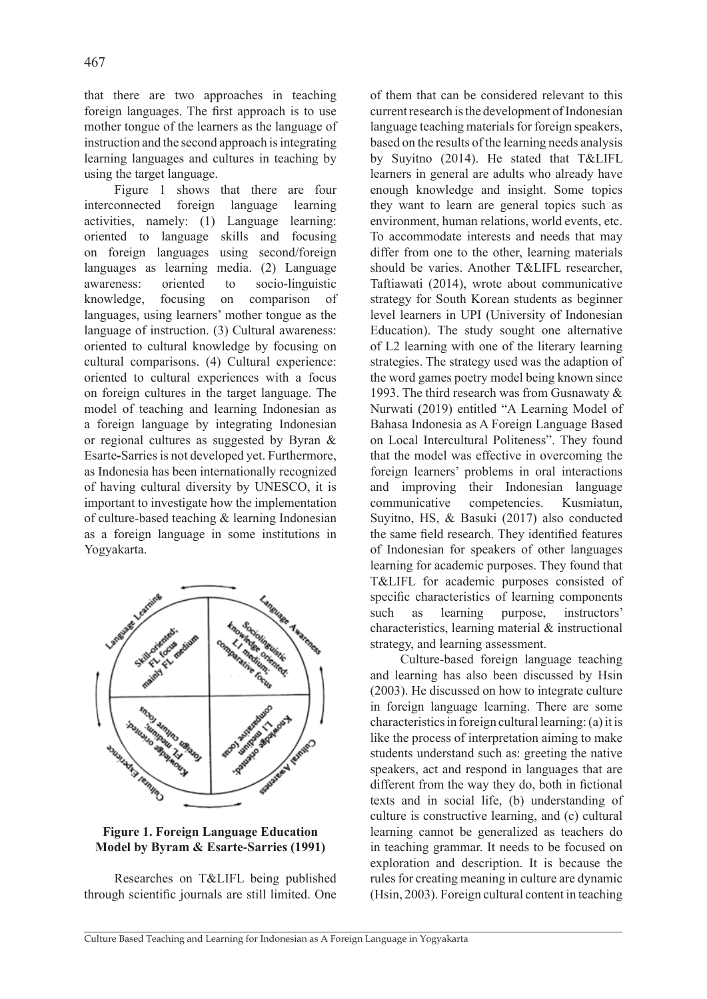that there are two approaches in teaching foreign languages. The first approach is to use mother tongue of the learners as the language of instruction and the second approach is integrating learning languages and cultures in teaching by using the target language.

Figure 1 shows that there are four interconnected foreign language learning activities, namely: (1) Language learning: oriented to language skills and focusing on foreign languages using second/foreign languages as learning media. (2) Language awareness: oriented to socio-linguistic knowledge, focusing on comparison of languages, using learners' mother tongue as the language of instruction. (3) Cultural awareness: oriented to cultural knowledge by focusing on cultural comparisons. (4) Cultural experience: oriented to cultural experiences with a focus on foreign cultures in the target language. The model of teaching and learning Indonesian as a foreign language by integrating Indonesian or regional cultures as suggested by Byran & Esarte**-**Sarries is not developed yet. Furthermore, as Indonesia has been internationally recognized of having cultural diversity by UNESCO, it is important to investigate how the implementation of culture-based teaching & learning Indonesian as a foreign language in some institutions in Yogyakarta.



**Figure 1. Foreign Language Education Model by Byram & Esarte-Sarries (1991)**

Researches on T&LIFL being published through scientific journals are still limited. One of them that can be considered relevant to this current research is the development of Indonesian language teaching materials for foreign speakers, based on the results of the learning needs analysis by Suyitno (2014). He stated that T&LIFL learners in general are adults who already have enough knowledge and insight. Some topics they want to learn are general topics such as environment, human relations, world events, etc. To accommodate interests and needs that may differ from one to the other, learning materials should be varies. Another T&LIFL researcher, Taftiawati (2014), wrote about communicative strategy for South Korean students as beginner level learners in UPI (University of Indonesian Education). The study sought one alternative of L2 learning with one of the literary learning strategies. The strategy used was the adaption of the word games poetry model being known since 1993. The third research was from Gusnawaty & Nurwati (2019) entitled "A Learning Model of Bahasa Indonesia as A Foreign Language Based on Local Intercultural Politeness". They found that the model was effective in overcoming the foreign learners' problems in oral interactions and improving their Indonesian language communicative competencies. Kusmiatun, Suyitno, HS, & Basuki (2017) also conducted the same field research. They identified features of Indonesian for speakers of other languages learning for academic purposes. They found that T&LIFL for academic purposes consisted of specific characteristics of learning components such as learning purpose, instructors' characteristics, learning material & instructional strategy, and learning assessment.

Culture-based foreign language teaching and learning has also been discussed by Hsin (2003). He discussed on how to integrate culture in foreign language learning. There are some characteristics in foreign cultural learning: (a) it is like the process of interpretation aiming to make students understand such as: greeting the native speakers, act and respond in languages that are different from the way they do, both in fictional texts and in social life, (b) understanding of culture is constructive learning, and (c) cultural learning cannot be generalized as teachers do in teaching grammar. It needs to be focused on exploration and description. It is because the rules for creating meaning in culture are dynamic (Hsin, 2003). Foreign cultural content in teaching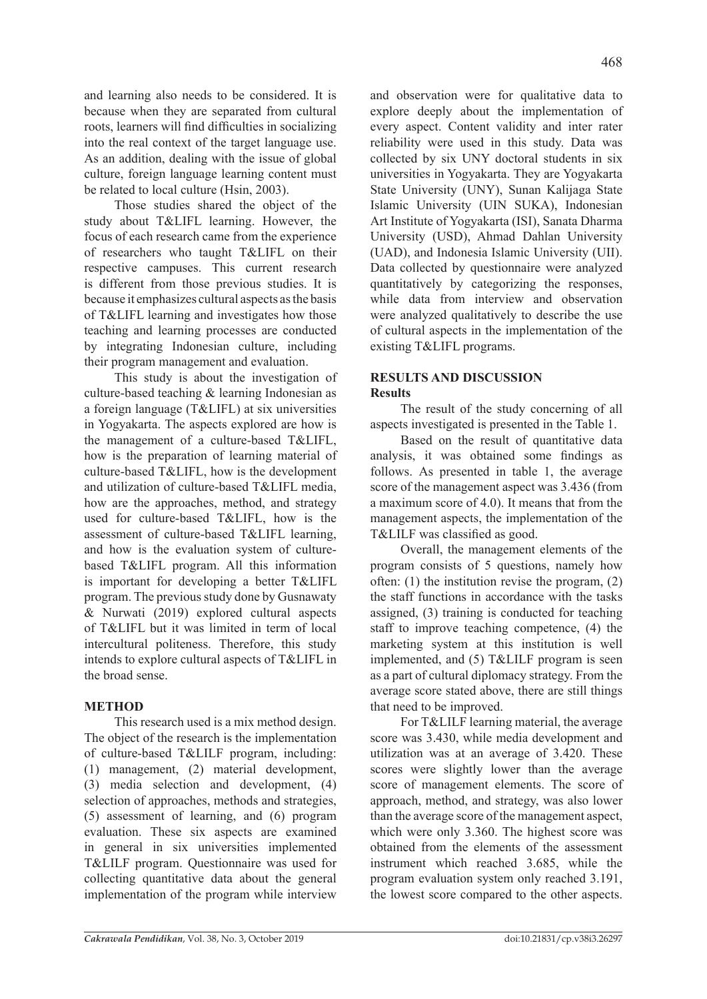and learning also needs to be considered. It is because when they are separated from cultural roots, learners will find difficulties in socializing into the real context of the target language use. As an addition, dealing with the issue of global culture, foreign language learning content must be related to local culture (Hsin, 2003).

Those studies shared the object of the study about T&LIFL learning. However, the focus of each research came from the experience of researchers who taught T&LIFL on their respective campuses. This current research is different from those previous studies. It is because it emphasizes cultural aspects as the basis of T&LIFL learning and investigates how those teaching and learning processes are conducted by integrating Indonesian culture, including their program management and evaluation.

This study is about the investigation of culture-based teaching & learning Indonesian as a foreign language (T&LIFL) at six universities in Yogyakarta. The aspects explored are how is the management of a culture-based T&LIFL, how is the preparation of learning material of culture-based T&LIFL, how is the development and utilization of culture-based T&LIFL media, how are the approaches, method, and strategy used for culture-based T&LIFL, how is the assessment of culture-based T&LIFL learning, and how is the evaluation system of culturebased T&LIFL program. All this information is important for developing a better T&LIFL program. The previous study done by Gusnawaty & Nurwati (2019) explored cultural aspects of T&LIFL but it was limited in term of local intercultural politeness. Therefore, this study intends to explore cultural aspects of T&LIFL in the broad sense.

## **METHOD**

This research used is a mix method design. The object of the research is the implementation of culture-based T&LILF program, including: (1) management, (2) material development, (3) media selection and development, (4) selection of approaches, methods and strategies, (5) assessment of learning, and (6) program evaluation. These six aspects are examined in general in six universities implemented T&LILF program. Questionnaire was used for collecting quantitative data about the general implementation of the program while interview

and observation were for qualitative data to explore deeply about the implementation of every aspect. Content validity and inter rater reliability were used in this study. Data was collected by six UNY doctoral students in six universities in Yogyakarta. They are Yogyakarta State University (UNY), Sunan Kalijaga State Islamic University (UIN SUKA), Indonesian Art Institute of Yogyakarta (ISI), Sanata Dharma University (USD), Ahmad Dahlan University (UAD), and Indonesia Islamic University (UII). Data collected by questionnaire were analyzed quantitatively by categorizing the responses, while data from interview and observation were analyzed qualitatively to describe the use of cultural aspects in the implementation of the existing T&LIFL programs.

### **RESULTS AND DISCUSSION Results**

The result of the study concerning of all aspects investigated is presented in the Table 1.

Based on the result of quantitative data analysis, it was obtained some findings as follows. As presented in table 1, the average score of the management aspect was 3.436 (from a maximum score of 4.0). It means that from the management aspects, the implementation of the T&LILF was classified as good.

Overall, the management elements of the program consists of 5 questions, namely how often: (1) the institution revise the program, (2) the staff functions in accordance with the tasks assigned, (3) training is conducted for teaching staff to improve teaching competence, (4) the marketing system at this institution is well implemented, and (5) T&LILF program is seen as a part of cultural diplomacy strategy. From the average score stated above, there are still things that need to be improved.

For T&LILF learning material, the average score was 3.430, while media development and utilization was at an average of 3.420. These scores were slightly lower than the average score of management elements. The score of approach, method, and strategy, was also lower than the average score of the management aspect, which were only 3.360. The highest score was obtained from the elements of the assessment instrument which reached 3.685, while the program evaluation system only reached 3.191, the lowest score compared to the other aspects.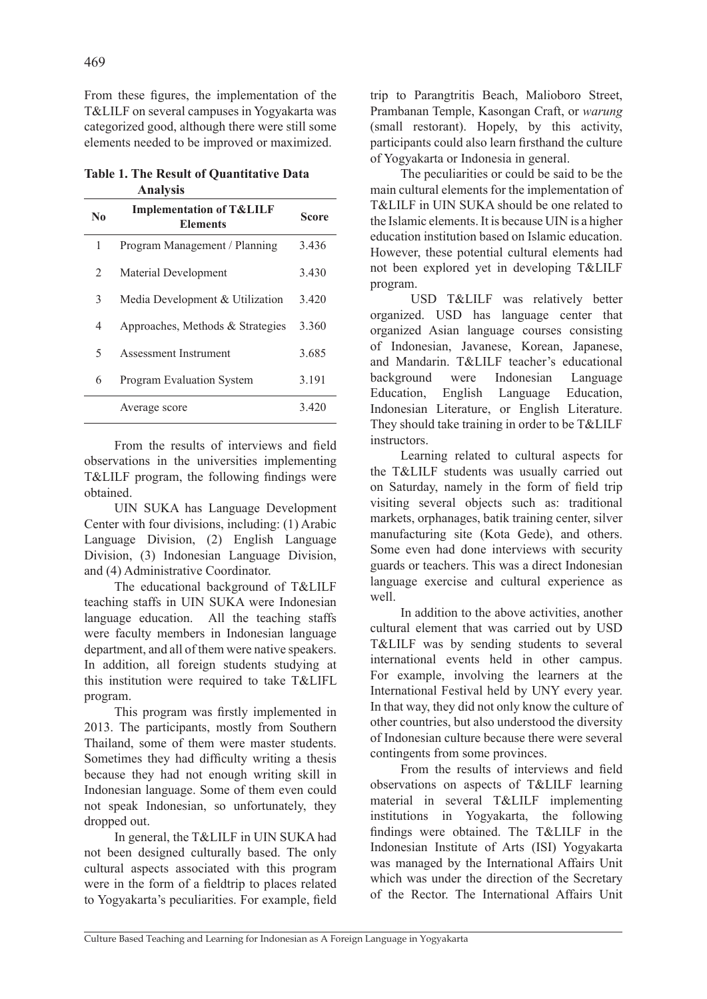From these figures, the implementation of the T&LILF on several campuses in Yogyakarta was categorized good, although there were still some elements needed to be improved or maximized.

**Table 1. The Result of Quantitative Data Analysis** 

| N <sub>0</sub> | <b>Implementation of T&amp;LILF</b><br><b>Elements</b> | Score |
|----------------|--------------------------------------------------------|-------|
| 1              | Program Management / Planning                          | 3.436 |
| $\mathfrak{D}$ | Material Development                                   | 3.430 |
| 3              | Media Development & Utilization                        | 3.420 |
| 4              | Approaches, Methods & Strategies                       | 3.360 |
| 5              | Assessment Instrument                                  | 3.685 |
| 6              | <b>Program Evaluation System</b>                       | 3.191 |
|                | Average score                                          | 3420  |

From the results of interviews and field observations in the universities implementing T&LILF program, the following findings were obtained.

UIN SUKA has Language Development Center with four divisions, including: (1) Arabic Language Division, (2) English Language Division, (3) Indonesian Language Division, and (4) Administrative Coordinator.

The educational background of T&LILF teaching staffs in UIN SUKA were Indonesian language education. All the teaching staffs were faculty members in Indonesian language department, and all of them were native speakers. In addition, all foreign students studying at this institution were required to take T&LIFL program.

This program was firstly implemented in 2013. The participants, mostly from Southern Thailand, some of them were master students. Sometimes they had difficulty writing a thesis because they had not enough writing skill in Indonesian language. Some of them even could not speak Indonesian, so unfortunately, they dropped out.

In general, the T&LILF in UIN SUKA had not been designed culturally based. The only cultural aspects associated with this program were in the form of a fieldtrip to places related to Yogyakarta's peculiarities. For example, field trip to Parangtritis Beach, Malioboro Street, Prambanan Temple, Kasongan Craft, or *warung* (small restorant). Hopely, by this activity, participants could also learn firsthand the culture of Yogyakarta or Indonesia in general.

The peculiarities or could be said to be the main cultural elements for the implementation of T&LILF in UIN SUKA should be one related to the Islamic elements. It is because UIN is a higher education institution based on Islamic education. However, these potential cultural elements had not been explored yet in developing T&LILF program.

 USD T&LILF was relatively better organized. USD has language center that organized Asian language courses consisting of Indonesian, Javanese, Korean, Japanese, and Mandarin. T&LILF teacher's educational background were Indonesian Language Education, English Language Education, Indonesian Literature, or English Literature. They should take training in order to be T&LILF instructors.

Learning related to cultural aspects for the T&LILF students was usually carried out on Saturday, namely in the form of field trip visiting several objects such as: traditional markets, orphanages, batik training center, silver manufacturing site (Kota Gede), and others. Some even had done interviews with security guards or teachers. This was a direct Indonesian language exercise and cultural experience as well

In addition to the above activities, another cultural element that was carried out by USD T&LILF was by sending students to several international events held in other campus. For example, involving the learners at the International Festival held by UNY every year. In that way, they did not only know the culture of other countries, but also understood the diversity of Indonesian culture because there were several contingents from some provinces.

From the results of interviews and field observations on aspects of T&LILF learning material in several T&LILF implementing institutions in Yogyakarta, the following findings were obtained. The T&LILF in the Indonesian Institute of Arts (ISI) Yogyakarta was managed by the International Affairs Unit which was under the direction of the Secretary of the Rector. The International Affairs Unit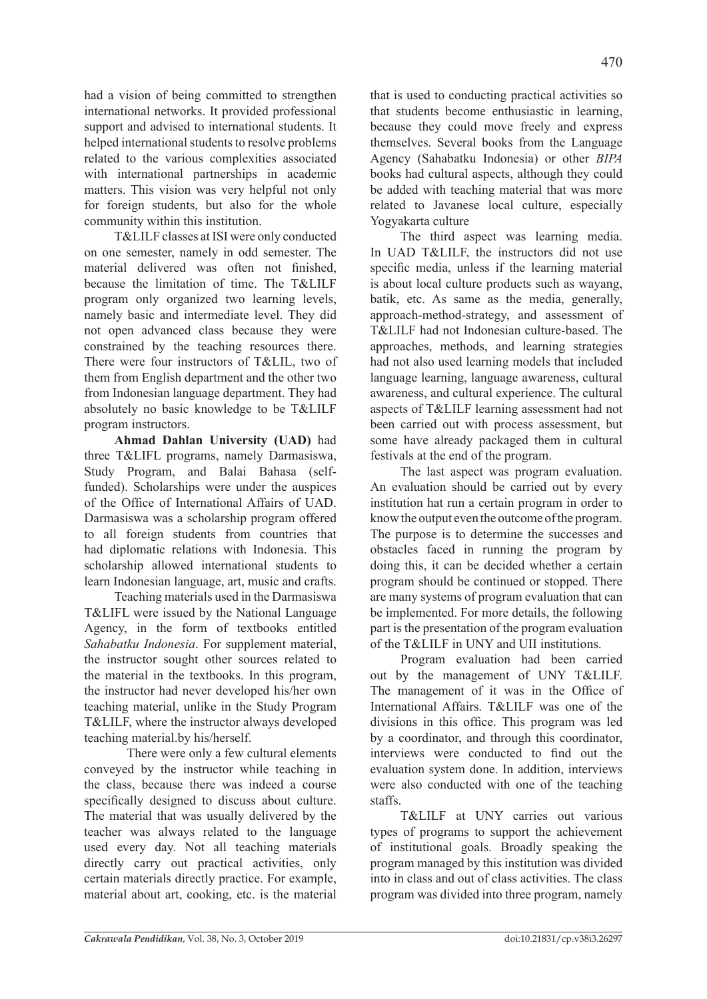had a vision of being committed to strengthen international networks. It provided professional support and advised to international students. It helped international students to resolve problems related to the various complexities associated with international partnerships in academic matters. This vision was very helpful not only for foreign students, but also for the whole community within this institution.

T&LILF classes at ISI were only conducted on one semester, namely in odd semester. The material delivered was often not finished, because the limitation of time. The T&LILF program only organized two learning levels, namely basic and intermediate level. They did not open advanced class because they were constrained by the teaching resources there. There were four instructors of T&LIL, two of them from English department and the other two from Indonesian language department. They had absolutely no basic knowledge to be T&LILF program instructors.

**Ahmad Dahlan University (UAD)** had three T&LIFL programs, namely Darmasiswa, Study Program, and Balai Bahasa (selffunded). Scholarships were under the auspices of the Office of International Affairs of UAD. Darmasiswa was a scholarship program offered to all foreign students from countries that had diplomatic relations with Indonesia. This scholarship allowed international students to learn Indonesian language, art, music and crafts.

Teaching materials used in the Darmasiswa T&LIFL were issued by the National Language Agency, in the form of textbooks entitled *Sahabatku Indonesia*. For supplement material, the instructor sought other sources related to the material in the textbooks. In this program, the instructor had never developed his/her own teaching material, unlike in the Study Program T&LILF, where the instructor always developed teaching material.by his/herself.

There were only a few cultural elements conveyed by the instructor while teaching in the class, because there was indeed a course specifically designed to discuss about culture. The material that was usually delivered by the teacher was always related to the language used every day. Not all teaching materials directly carry out practical activities, only certain materials directly practice. For example, material about art, cooking, etc. is the material

that is used to conducting practical activities so that students become enthusiastic in learning, because they could move freely and express themselves. Several books from the Language Agency (Sahabatku Indonesia) or other *BIPA* books had cultural aspects, although they could be added with teaching material that was more related to Javanese local culture, especially Yogyakarta culture

The third aspect was learning media. In UAD T&LILF, the instructors did not use specific media, unless if the learning material is about local culture products such as wayang, batik, etc. As same as the media, generally, approach-method-strategy, and assessment of T&LILF had not Indonesian culture-based. The approaches, methods, and learning strategies had not also used learning models that included language learning, language awareness, cultural awareness, and cultural experience. The cultural aspects of T&LILF learning assessment had not been carried out with process assessment, but some have already packaged them in cultural festivals at the end of the program.

The last aspect was program evaluation. An evaluation should be carried out by every institution hat run a certain program in order to know the output even the outcome of the program. The purpose is to determine the successes and obstacles faced in running the program by doing this, it can be decided whether a certain program should be continued or stopped. There are many systems of program evaluation that can be implemented. For more details, the following part is the presentation of the program evaluation of the T&LILF in UNY and UII institutions.

Program evaluation had been carried out by the management of UNY T&LILF. The management of it was in the Office of International Affairs. T&LILF was one of the divisions in this office. This program was led by a coordinator, and through this coordinator, interviews were conducted to find out the evaluation system done. In addition, interviews were also conducted with one of the teaching staffs.

T&LILF at UNY carries out various types of programs to support the achievement of institutional goals. Broadly speaking the program managed by this institution was divided into in class and out of class activities. The class program was divided into three program, namely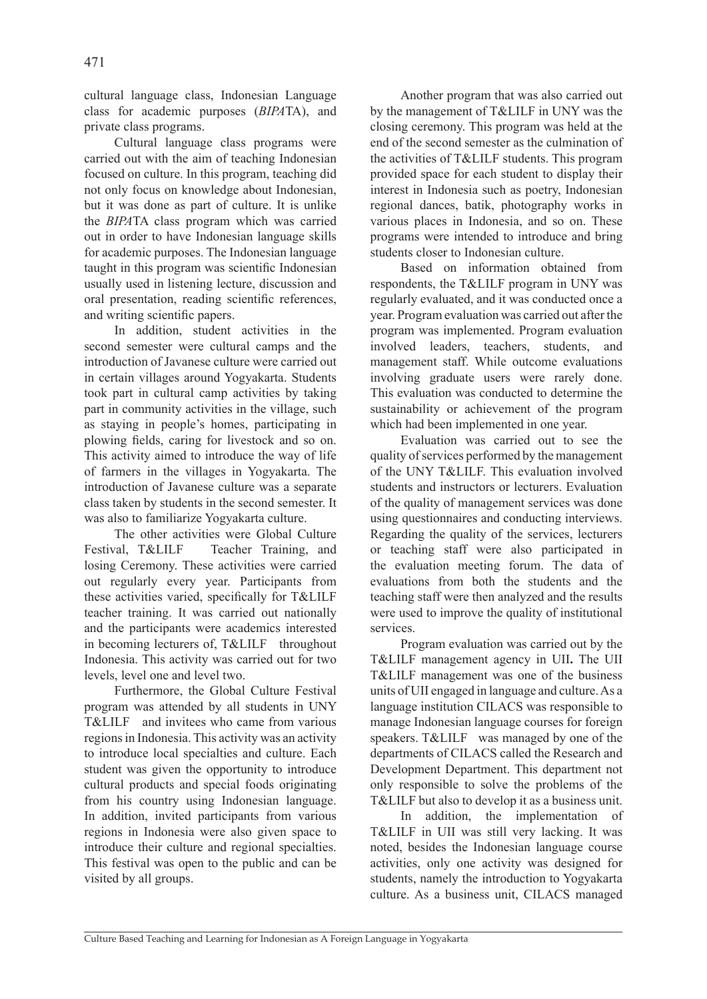cultural language class, Indonesian Language class for academic purposes (*BIPA*TA), and private class programs.

Cultural language class programs were carried out with the aim of teaching Indonesian focused on culture. In this program, teaching did not only focus on knowledge about Indonesian, but it was done as part of culture. It is unlike the *BIPA*TA class program which was carried out in order to have Indonesian language skills for academic purposes. The Indonesian language taught in this program was scientific Indonesian usually used in listening lecture, discussion and oral presentation, reading scientific references, and writing scientific papers.

In addition, student activities in the second semester were cultural camps and the introduction of Javanese culture were carried out in certain villages around Yogyakarta. Students took part in cultural camp activities by taking part in community activities in the village, such as staying in people's homes, participating in plowing fields, caring for livestock and so on. This activity aimed to introduce the way of life of farmers in the villages in Yogyakarta. The introduction of Javanese culture was a separate class taken by students in the second semester. It was also to familiarize Yogyakarta culture.

The other activities were Global Culture Festival, T&LILF Teacher Training, and losing Ceremony. These activities were carried out regularly every year. Participants from these activities varied, specifically for T&LILF teacher training. It was carried out nationally and the participants were academics interested in becoming lecturers of, T&LILF throughout Indonesia. This activity was carried out for two levels, level one and level two.

Furthermore, the Global Culture Festival program was attended by all students in UNY T&LILF and invitees who came from various regions in Indonesia. This activity was an activity to introduce local specialties and culture. Each student was given the opportunity to introduce cultural products and special foods originating from his country using Indonesian language. In addition, invited participants from various regions in Indonesia were also given space to introduce their culture and regional specialties. This festival was open to the public and can be visited by all groups.

Another program that was also carried out by the management of T&LILF in UNY was the closing ceremony. This program was held at the end of the second semester as the culmination of the activities of T&LILF students. This program provided space for each student to display their interest in Indonesia such as poetry, Indonesian regional dances, batik, photography works in various places in Indonesia, and so on. These programs were intended to introduce and bring students closer to Indonesian culture.

Based on information obtained from respondents, the T&LILF program in UNY was regularly evaluated, and it was conducted once a year. Program evaluation was carried out after the program was implemented. Program evaluation involved leaders, teachers, students, and management staff. While outcome evaluations involving graduate users were rarely done. This evaluation was conducted to determine the sustainability or achievement of the program which had been implemented in one year.

Evaluation was carried out to see the quality of services performed by the management of the UNY T&LILF. This evaluation involved students and instructors or lecturers. Evaluation of the quality of management services was done using questionnaires and conducting interviews. Regarding the quality of the services, lecturers or teaching staff were also participated in the evaluation meeting forum. The data of evaluations from both the students and the teaching staff were then analyzed and the results were used to improve the quality of institutional services.

Program evaluation was carried out by the T&LILF management agency in UII**.** The UII T&LILF management was one of the business units of UII engaged in language and culture. As a language institution CILACS was responsible to manage Indonesian language courses for foreign speakers. T&LILF was managed by one of the departments of CILACS called the Research and Development Department. This department not only responsible to solve the problems of the T&LILF but also to develop it as a business unit.

In addition, the implementation of T&LILF in UII was still very lacking. It was noted, besides the Indonesian language course activities, only one activity was designed for students, namely the introduction to Yogyakarta culture. As a business unit, CILACS managed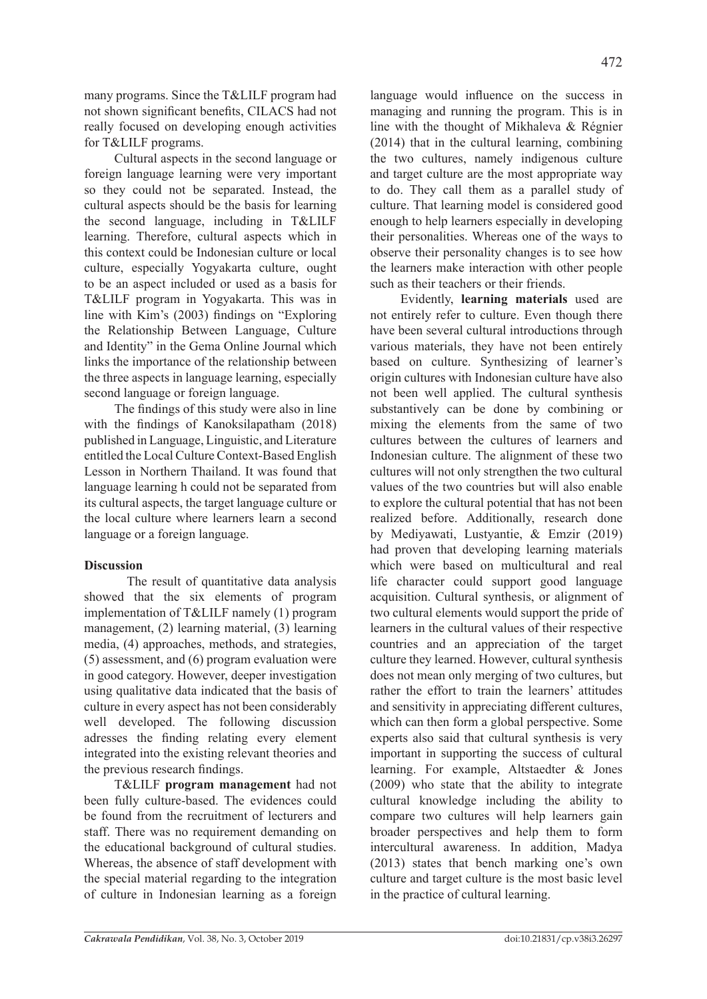many programs. Since the T&LILF program had not shown significant benefits, CILACS had not really focused on developing enough activities for T&LILF programs.

Cultural aspects in the second language or foreign language learning were very important so they could not be separated. Instead, the cultural aspects should be the basis for learning the second language, including in T&LILF learning. Therefore, cultural aspects which in this context could be Indonesian culture or local culture, especially Yogyakarta culture, ought to be an aspect included or used as a basis for T&LILF program in Yogyakarta. This was in line with Kim's (2003) findings on "Exploring the Relationship Between Language, Culture and Identity" in the Gema Online Journal which links the importance of the relationship between the three aspects in language learning, especially second language or foreign language.

The findings of this study were also in line with the findings of Kanoksilapatham (2018) published in Language, Linguistic, and Literature entitled the Local Culture Context-Based English Lesson in Northern Thailand. It was found that language learning h could not be separated from its cultural aspects, the target language culture or the local culture where learners learn a second language or a foreign language.

## **Discussion**

The result of quantitative data analysis showed that the six elements of program implementation of T&LILF namely (1) program management, (2) learning material, (3) learning media, (4) approaches, methods, and strategies, (5) assessment, and (6) program evaluation were in good category. However, deeper investigation using qualitative data indicated that the basis of culture in every aspect has not been considerably well developed. The following discussion adresses the finding relating every element integrated into the existing relevant theories and the previous research findings.

T&LILF **program management** had not been fully culture-based. The evidences could be found from the recruitment of lecturers and staff. There was no requirement demanding on the educational background of cultural studies. Whereas, the absence of staff development with the special material regarding to the integration of culture in Indonesian learning as a foreign

language would influence on the success in managing and running the program. This is in line with the thought of Mikhaleva & Régnier (2014) that in the cultural learning, combining the two cultures, namely indigenous culture and target culture are the most appropriate way to do. They call them as a parallel study of culture. That learning model is considered good enough to help learners especially in developing their personalities. Whereas one of the ways to observe their personality changes is to see how the learners make interaction with other people such as their teachers or their friends.

Evidently, **learning materials** used are not entirely refer to culture. Even though there have been several cultural introductions through various materials, they have not been entirely based on culture. Synthesizing of learner's origin cultures with Indonesian culture have also not been well applied. The cultural synthesis substantively can be done by combining or mixing the elements from the same of two cultures between the cultures of learners and Indonesian culture. The alignment of these two cultures will not only strengthen the two cultural values of the two countries but will also enable to explore the cultural potential that has not been realized before. Additionally, research done by Mediyawati, Lustyantie, & Emzir (2019) had proven that developing learning materials which were based on multicultural and real life character could support good language acquisition. Cultural synthesis, or alignment of two cultural elements would support the pride of learners in the cultural values of their respective countries and an appreciation of the target culture they learned. However, cultural synthesis does not mean only merging of two cultures, but rather the effort to train the learners' attitudes and sensitivity in appreciating different cultures, which can then form a global perspective. Some experts also said that cultural synthesis is very important in supporting the success of cultural learning. For example, Altstaedter & Jones (2009) who state that the ability to integrate cultural knowledge including the ability to compare two cultures will help learners gain broader perspectives and help them to form intercultural awareness. In addition, Madya (2013) states that bench marking one's own culture and target culture is the most basic level in the practice of cultural learning.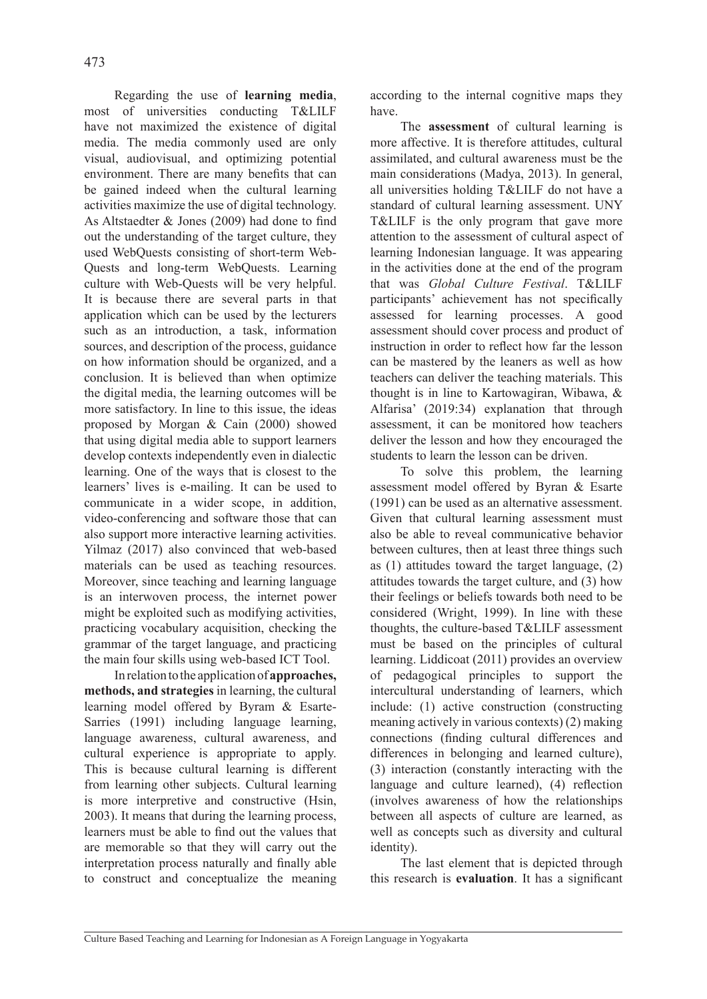Regarding the use of **learning media**, most of universities conducting T&LILF have not maximized the existence of digital media. The media commonly used are only visual, audiovisual, and optimizing potential environment. There are many benefits that can be gained indeed when the cultural learning activities maximize the use of digital technology. As Altstaedter & Jones (2009) had done to find out the understanding of the target culture, they used WebQuests consisting of short-term Web-Quests and long-term WebQuests. Learning culture with Web-Quests will be very helpful. It is because there are several parts in that application which can be used by the lecturers such as an introduction, a task, information sources, and description of the process, guidance on how information should be organized, and a conclusion. It is believed than when optimize the digital media, the learning outcomes will be more satisfactory. In line to this issue, the ideas proposed by Morgan & Cain (2000) showed that using digital media able to support learners develop contexts independently even in dialectic learning. One of the ways that is closest to the learners' lives is e-mailing. It can be used to communicate in a wider scope, in addition, video-conferencing and software those that can also support more interactive learning activities. Yilmaz (2017) also convinced that web-based materials can be used as teaching resources. Moreover, since teaching and learning language is an interwoven process, the internet power might be exploited such as modifying activities, practicing vocabulary acquisition, checking the grammar of the target language, and practicing the main four skills using web-based ICT Tool.

In relation to the application of **approaches, methods, and strategies** in learning, the cultural learning model offered by Byram & Esarte-Sarries (1991) including language learning, language awareness, cultural awareness, and cultural experience is appropriate to apply. This is because cultural learning is different from learning other subjects. Cultural learning is more interpretive and constructive (Hsin, 2003). It means that during the learning process, learners must be able to find out the values that are memorable so that they will carry out the interpretation process naturally and finally able to construct and conceptualize the meaning according to the internal cognitive maps they have.

The **assessment** of cultural learning is more affective. It is therefore attitudes, cultural assimilated, and cultural awareness must be the main considerations (Madya, 2013). In general, all universities holding T&LILF do not have a standard of cultural learning assessment. UNY T&LILF is the only program that gave more attention to the assessment of cultural aspect of learning Indonesian language. It was appearing in the activities done at the end of the program that was *Global Culture Festival*. T&LILF participants' achievement has not specifically assessed for learning processes. A good assessment should cover process and product of instruction in order to reflect how far the lesson can be mastered by the leaners as well as how teachers can deliver the teaching materials. This thought is in line to Kartowagiran, Wibawa, & Alfarisa' (2019:34) explanation that through assessment, it can be monitored how teachers deliver the lesson and how they encouraged the students to learn the lesson can be driven.

To solve this problem, the learning assessment model offered by Byran & Esarte (1991) can be used as an alternative assessment. Given that cultural learning assessment must also be able to reveal communicative behavior between cultures, then at least three things such as (1) attitudes toward the target language, (2) attitudes towards the target culture, and (3) how their feelings or beliefs towards both need to be considered (Wright, 1999). In line with these thoughts, the culture-based T&LILF assessment must be based on the principles of cultural learning. Liddicoat (2011) provides an overview of pedagogical principles to support the intercultural understanding of learners, which include: (1) active construction (constructing meaning actively in various contexts) (2) making connections (finding cultural differences and differences in belonging and learned culture), (3) interaction (constantly interacting with the language and culture learned), (4) reflection (involves awareness of how the relationships between all aspects of culture are learned, as well as concepts such as diversity and cultural identity).

The last element that is depicted through this research is **evaluation**. It has a significant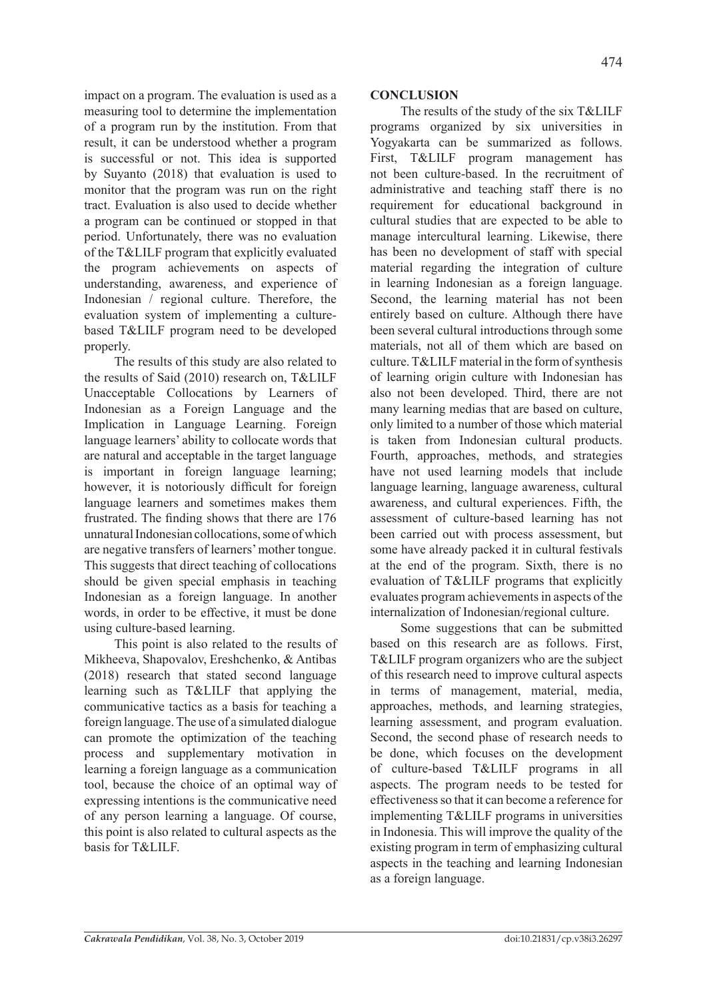impact on a program. The evaluation is used as a measuring tool to determine the implementation of a program run by the institution. From that result, it can be understood whether a program is successful or not. This idea is supported by Suyanto (2018) that evaluation is used to monitor that the program was run on the right tract. Evaluation is also used to decide whether a program can be continued or stopped in that period. Unfortunately, there was no evaluation of the T&LILF program that explicitly evaluated the program achievements on aspects of understanding, awareness, and experience of Indonesian / regional culture. Therefore, the evaluation system of implementing a culturebased T&LILF program need to be developed properly.

The results of this study are also related to the results of Said (2010) research on, T&LILF Unacceptable Collocations by Learners of Indonesian as a Foreign Language and the Implication in Language Learning. Foreign language learners' ability to collocate words that are natural and acceptable in the target language is important in foreign language learning; however, it is notoriously difficult for foreign language learners and sometimes makes them frustrated. The finding shows that there are 176 unnatural Indonesian collocations, some of which are negative transfers of learners' mother tongue. This suggests that direct teaching of collocations should be given special emphasis in teaching Indonesian as a foreign language. In another words, in order to be effective, it must be done using culture-based learning.

This point is also related to the results of Mikheeva, Shapovalov, Ereshchenko, & Antibas (2018) research that stated second language learning such as T&LILF that applying the communicative tactics as a basis for teaching a foreign language. The use of a simulated dialogue can promote the optimization of the teaching process and supplementary motivation in learning a foreign language as a communication tool, because the choice of an optimal way of expressing intentions is the communicative need of any person learning a language. Of course, this point is also related to cultural aspects as the basis for T&LILF.

# **CONCLUSION**

The results of the study of the six T&LILF programs organized by six universities in Yogyakarta can be summarized as follows. First, T&LILF program management has not been culture-based. In the recruitment of administrative and teaching staff there is no requirement for educational background in cultural studies that are expected to be able to manage intercultural learning. Likewise, there has been no development of staff with special material regarding the integration of culture in learning Indonesian as a foreign language. Second, the learning material has not been entirely based on culture. Although there have been several cultural introductions through some materials, not all of them which are based on culture. T&LILF material in the form of synthesis of learning origin culture with Indonesian has also not been developed. Third, there are not many learning medias that are based on culture, only limited to a number of those which material is taken from Indonesian cultural products. Fourth, approaches, methods, and strategies have not used learning models that include language learning, language awareness, cultural awareness, and cultural experiences. Fifth, the assessment of culture-based learning has not been carried out with process assessment, but some have already packed it in cultural festivals at the end of the program. Sixth, there is no evaluation of T&LILF programs that explicitly evaluates program achievements in aspects of the internalization of Indonesian/regional culture.

Some suggestions that can be submitted based on this research are as follows. First, T&LILF program organizers who are the subject of this research need to improve cultural aspects in terms of management, material, media, approaches, methods, and learning strategies, learning assessment, and program evaluation. Second, the second phase of research needs to be done, which focuses on the development of culture-based T&LILF programs in all aspects. The program needs to be tested for effectiveness so that it can become a reference for implementing T&LILF programs in universities in Indonesia. This will improve the quality of the existing program in term of emphasizing cultural aspects in the teaching and learning Indonesian as a foreign language.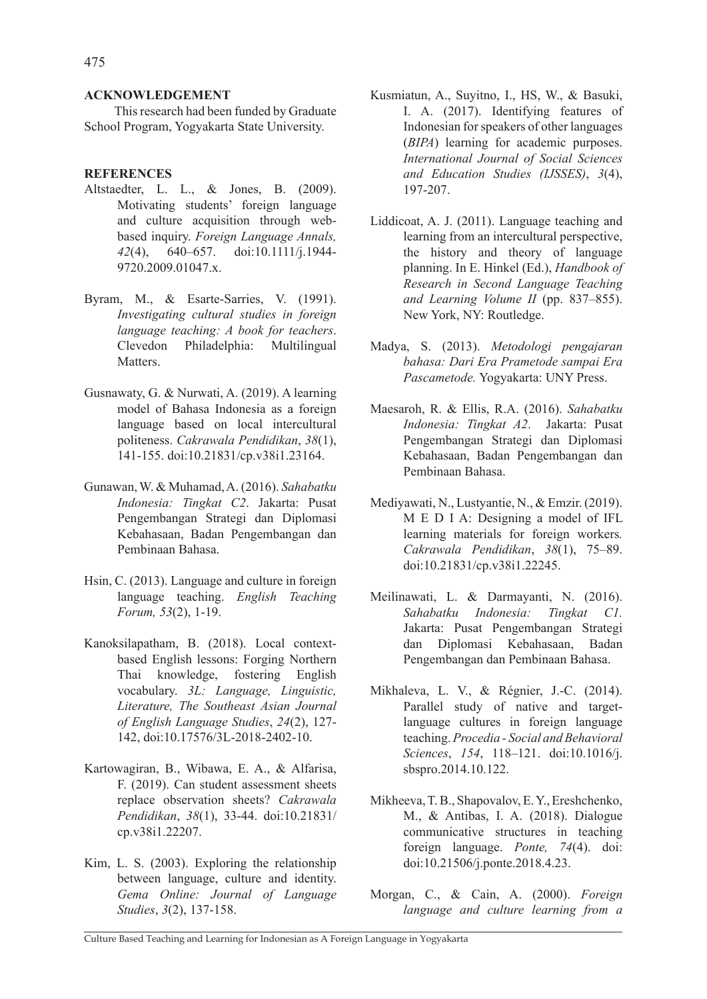This research had been funded by Graduate School Program, Yogyakarta State University.

### **REFERENCES**

- Altstaedter, L. L., & Jones, B. (2009). Motivating students' foreign language and culture acquisition through webbased inquiry. *Foreign Language Annals, 42*(4), 640–657. doi:10.1111/j.1944- 9720.2009.01047.x.
- Byram, M., & Esarte-Sarries, V. (1991). *Investigating cultural studies in foreign language teaching: A book for teachers*. Clevedon Philadelphia: Multilingual **Matters**
- Gusnawaty, G. & Nurwati, A. (2019). A learning model of Bahasa Indonesia as a foreign language based on local intercultural politeness. *Cakrawala Pendidikan*, *38*(1), 141-155. doi:10.21831/cp.v38i1.23164.
- Gunawan, W. & Muhamad, A. (2016). *Sahabatku Indonesia: Tingkat C2*. Jakarta: Pusat Pengembangan Strategi dan Diplomasi Kebahasaan, Badan Pengembangan dan Pembinaan Bahasa.
- Hsin, C. (2013). Language and culture in foreign language teaching. *English Teaching Forum, 53*(2), 1-19.
- Kanoksilapatham, B. (2018). Local contextbased English lessons: Forging Northern Thai knowledge, fostering English vocabulary. *3L: Language, Linguistic, Literature, The Southeast Asian Journal of English Language Studies*, *24*(2), 127- 142, doi:10.17576/3L-2018-2402-10.
- Kartowagiran, B., Wibawa, E. A., & Alfarisa, F. (2019). Can student assessment sheets replace observation sheets? *Cakrawala Pendidikan*, *38*(1), 33-44. doi:10.21831/ cp.v38i1.22207.
- Kim, L. S. (2003). Exploring the relationship between language, culture and identity. *Gema Online: Journal of Language Studies*, *3*(2), 137-158.
- Kusmiatun, A., Suyitno, I., HS, W., & Basuki, I. A. (2017). Identifying features of Indonesian for speakers of other languages (*BIPA*) learning for academic purposes. *International Journal of Social Sciences and Education Studies (IJSSES)*, *3*(4), 197-207.
- Liddicoat, A. J. (2011). Language teaching and learning from an intercultural perspective, the history and theory of language planning. In E. Hinkel (Ed.), *Handbook of Research in Second Language Teaching and Learning Volume II* (pp. 837–855). New York, NY: Routledge.
- Madya, S. (2013). *Metodologi pengajaran bahasa: Dari Era Prametode sampai Era Pascametode.* Yogyakarta: UNY Press.
- Maesaroh, R. & Ellis, R.A. (2016). *Sahabatku Indonesia: Tingkat A2*. Jakarta: Pusat Pengembangan Strategi dan Diplomasi Kebahasaan, Badan Pengembangan dan Pembinaan Bahasa.
- Mediyawati, N., Lustyantie, N., & Emzir. (2019). M E D I A: Designing a model of IFL learning materials for foreign workers*. Cakrawala Pendidikan*, *38*(1), 75–89. doi:10.21831/cp.v38i1.22245.
- Meilinawati, L. & Darmayanti, N. (2016). *Sahabatku Indonesia: Tingkat C1.* Jakarta: Pusat Pengembangan Strategi dan Diplomasi Kebahasaan, Badan Pengembangan dan Pembinaan Bahasa.
- Mikhaleva, L. V., & Régnier, J.-C. (2014). Parallel study of native and targetlanguage cultures in foreign language teaching. *Procedia - Social and Behavioral Sciences*, *154*, 118–121. doi:10.1016/j. sbspro.2014.10.122.
- Mikheeva, T. B., Shapovalov, E. Y., Ereshchenko, M., & Antibas, I. A. (2018). Dialogue communicative structures in teaching foreign language. *Ponte, 74*(4). doi: doi:10.21506/j.ponte.2018.4.23.
- Morgan, C., & Cain, A. (2000). *Foreign language and culture learning from a*